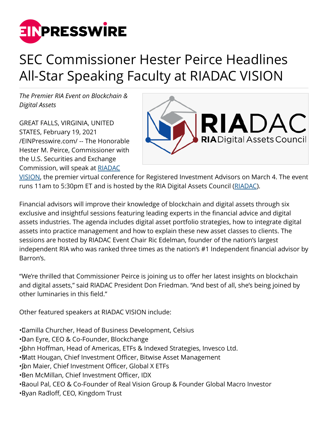

## SEC Commissioner Hester Peirce Headlines All-Star Speaking Faculty at RIADAC VISION

*The Premier RIA Event on Blockchain & Digital Assets*

GREAT FALLS, VIRGINIA, UNITED STATES, February 19, 2021 [/EINPresswire.com/](http://www.einpresswire.com) -- The Honorable Hester M. Peirce, Commissioner with the U.S. Securities and Exchange Commission, will speak at [RIADAC](https://riadac.com/riadac-vision/)



[VISION,](https://riadac.com/riadac-vision/) the premier virtual conference for Registered Investment Advisors on March 4. The event runs 11am to 5:30pm ET and is hosted by the RIA Digital Assets Council ([RIADAC\)](https://riadac.com/).

Financial advisors will improve their knowledge of blockchain and digital assets through six exclusive and insightful sessions featuring leading experts in the financial advice and digital assets industries. The agenda includes digital asset portfolio strategies, how to integrate digital assets into practice management and how to explain these new asset classes to clients. The sessions are hosted by RIADAC Event Chair Ric Edelman, founder of the nation's largest independent RIA who was ranked three times as the nation's #1 Independent financial advisor by Barron's.

"We're thrilled that Commissioner Peirce is joining us to offer her latest insights on blockchain and digital assets," said RIADAC President Don Friedman. "And best of all, she's being joined by other luminaries in this field."

Other featured speakers at RIADAC VISION include:

• Camilla Churcher, Head of Business Development, Celsius

- • Dan Eyre, CEO & Co-Founder, Blockchange
- John Hoffman, Head of Americas, ETFs & Indexed Strategies, Invesco Ltd.
- • Matt Hougan, Chief Investment Officer, Bitwise Asset Management
- I Dn Maier, Chief Investment Officer, Global X ETFs
- • Ben McMillan, Chief Investment Officer, IDX
- • Raoul Pal, CEO & Co-Founder of Real Vision Group & Founder Global Macro Investor
- • Ryan Radloff, CEO, Kingdom Trust